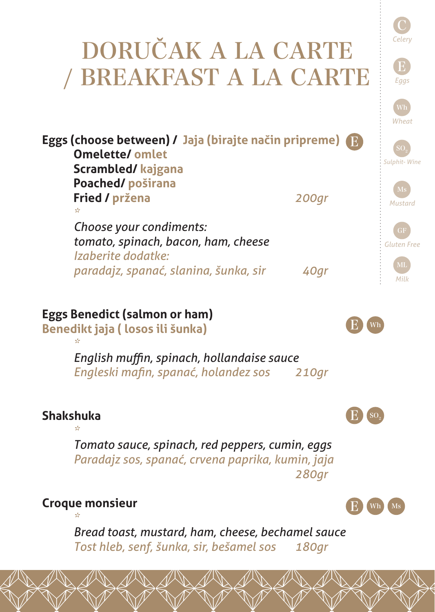## C *Celery* E *Eggs Wheat Sulphit- Wine Mustard Gluten Free* ML *Milk* DORUČAK A LA CARTE / BREAKFAST A LA CARTE **Eggs (choose between) / Jaja (birajte način pripreme)** E **Omelette/ omlet Scrambled/ kajgana Poached/ poširana Fried / pržena** *200gr \* Choose your condiments: tomato, spinach, bacon, ham, cheese Izaberite dodatke: paradajz, spanać, slanina, šunka, sir 40gr* **Eggs Benedict (salmon or ham) Benedikt jaja ( losos ili šunka)** *\* English muffin, spinach, hollandaise sauce Engleski mafin, spanać, holandez sos 210gr* **Shakshuka** *\* Tomato sauce, spinach, red peppers, cumin, eggs Paradajz sos, spanać, crvena paprika, kumin, jaja 280gr*  **Croque monsieur** *\* Bread toast, mustard, ham, cheese, bechamel sauce Tost hleb, senf, šunka, sir, bešamel sos 180gr* E E E Wh Wh  $\mathrm{SO}_2$ Ms